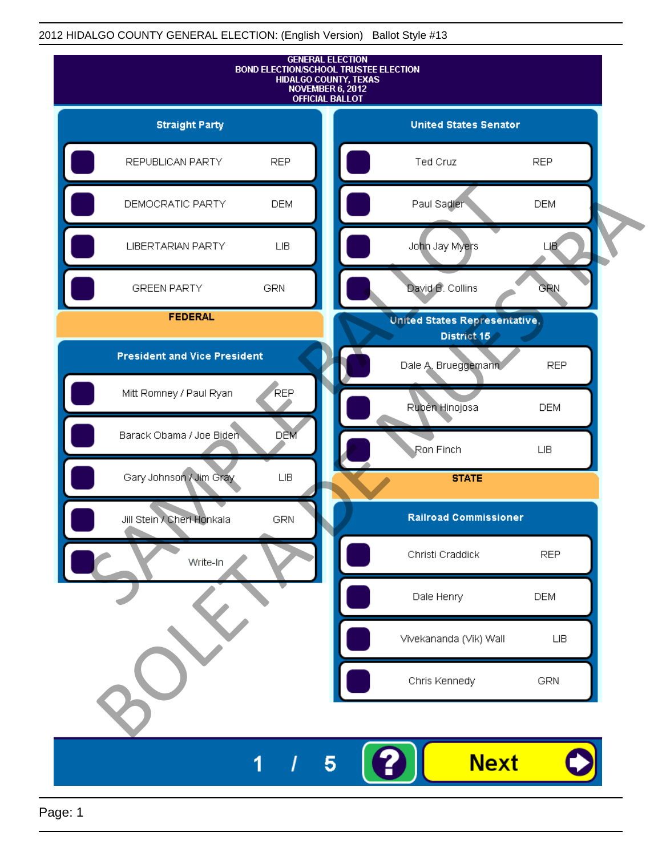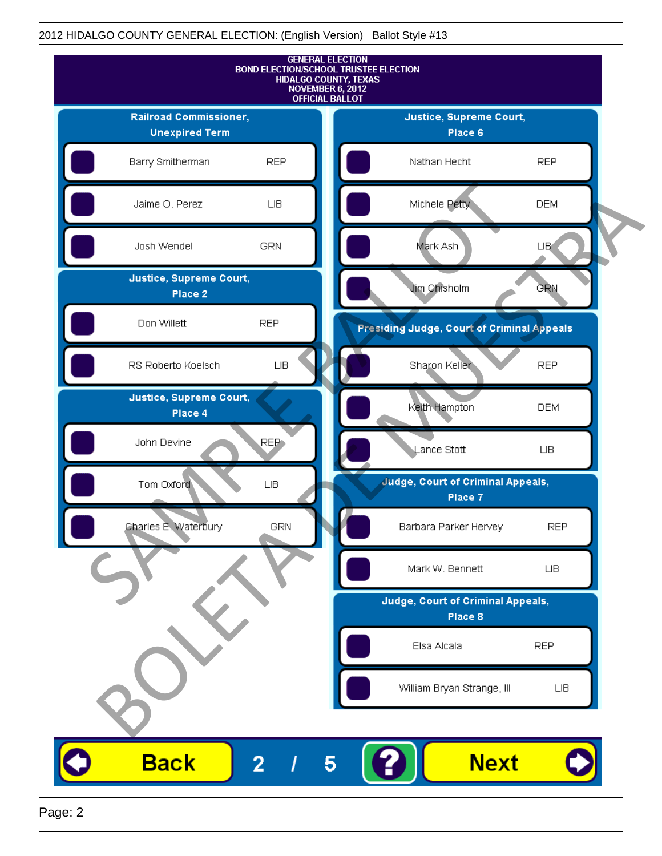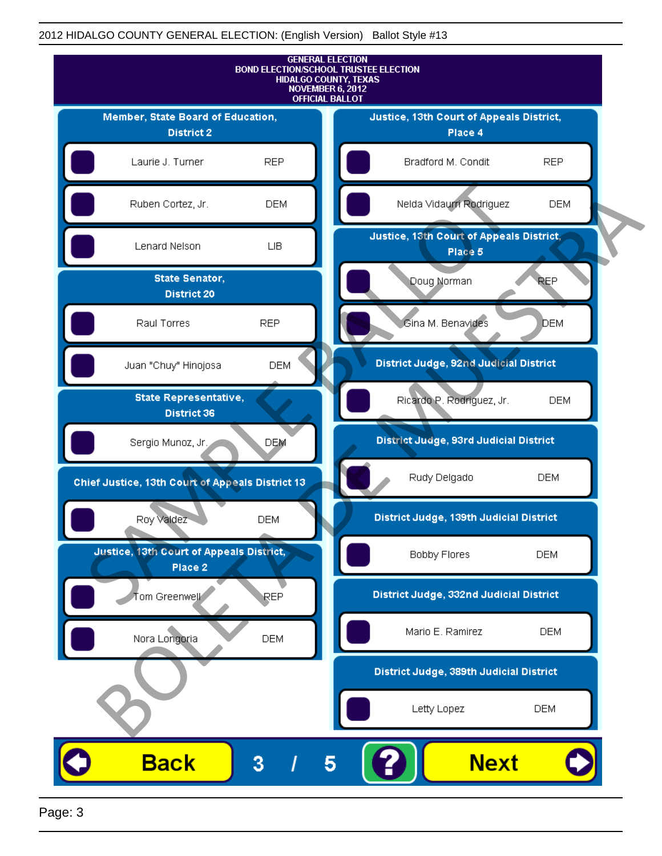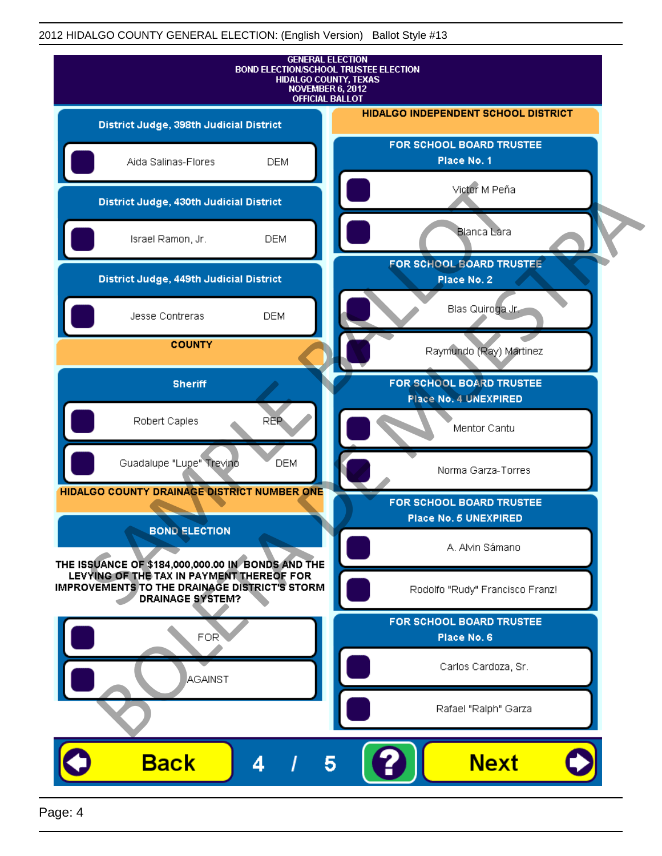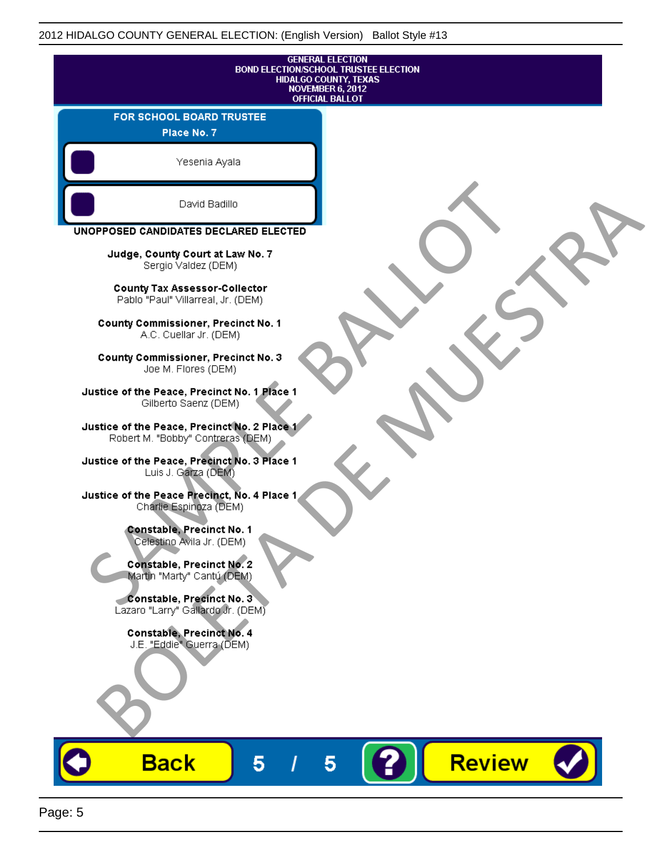| <b>GENERAL ELECTION</b><br><b>BOND ELECTION/SCHOOL TRUSTEE ELECTION</b><br><b>HIDALGO COUNTY, TEXAS</b><br>NOVEMBER 6, 2012<br><b>OFFICIAL BALLOT</b> |                    |
|-------------------------------------------------------------------------------------------------------------------------------------------------------|--------------------|
| FOR SCHOOL BOARD TRUSTEE<br>Place No. 7                                                                                                               |                    |
| Yesenia Ayala                                                                                                                                         |                    |
| David Badillo                                                                                                                                         |                    |
| UNOPPOSED CANDIDATES DECLARED ELECTED                                                                                                                 |                    |
| Judge, County Court at Law No. 7<br>Sergio Valdez (DEM)                                                                                               |                    |
| County Tax Assessor-Collector<br>Pablo "Paul" Villarreal, Jr. (DEM)                                                                                   |                    |
| <b>County Commissioner, Precinct No. 1</b><br>A.C. Cuellar Jr. (DEM)                                                                                  |                    |
| County Commissioner, Precinct No. 3<br>Joe M. Flores (DEM)                                                                                            |                    |
| Justice of the Peace, Precinct No. 1 Place 1<br>Gilberto Saenz (DEM)                                                                                  |                    |
| Justice of the Peace, Precinct No. 2 Place 1<br>Robert M. "Bobby" Contreras (DEM)                                                                     |                    |
| Justice of the Peace, Precinct No. 3 Place 1<br>Luis J. Garza (DEM)                                                                                   |                    |
| Justice of the Peace Precinct, No. 4 Place 1<br>Charlie Espinoza (DEM)                                                                                |                    |
| <b>Constable, Precinct No. 1</b><br>Celestino Avila Jr. (DEM)                                                                                         |                    |
| Constable, Precinct No. 2<br>Martin "Marty" Cantú (DEM)                                                                                               |                    |
| Constable, Precinct No. 3<br>Lazaro "Larry" Gallardo Jr. (DEM)                                                                                        |                    |
| Constable, Precinct No. 4<br>J.E. "Eddie" Guerra (DEM)                                                                                                |                    |
|                                                                                                                                                       |                    |
|                                                                                                                                                       |                    |
| <b>Back</b><br>5                                                                                                                                      | <b>Review</b><br>5 |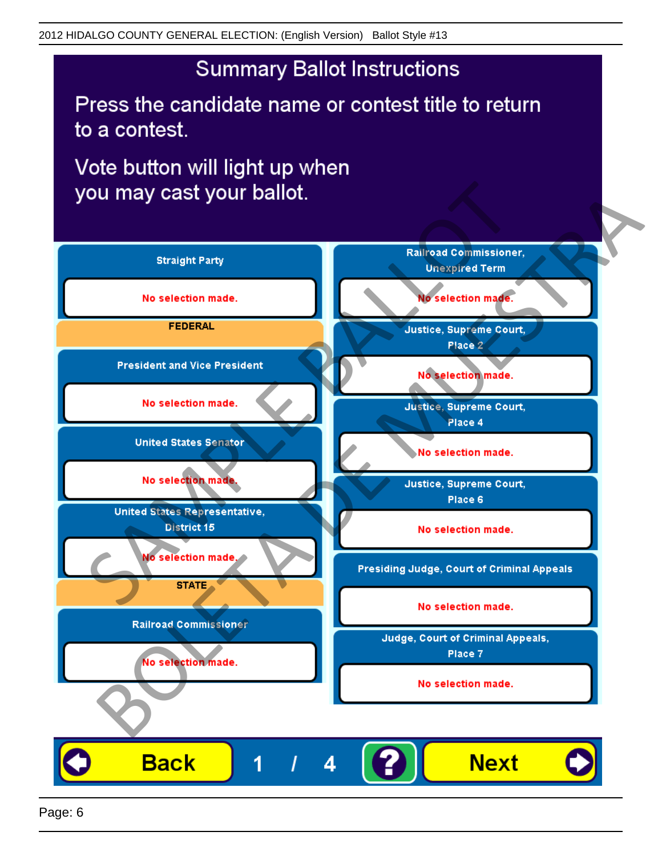Press the candidate name or contest title to return to a contest.

Vote button will light up when

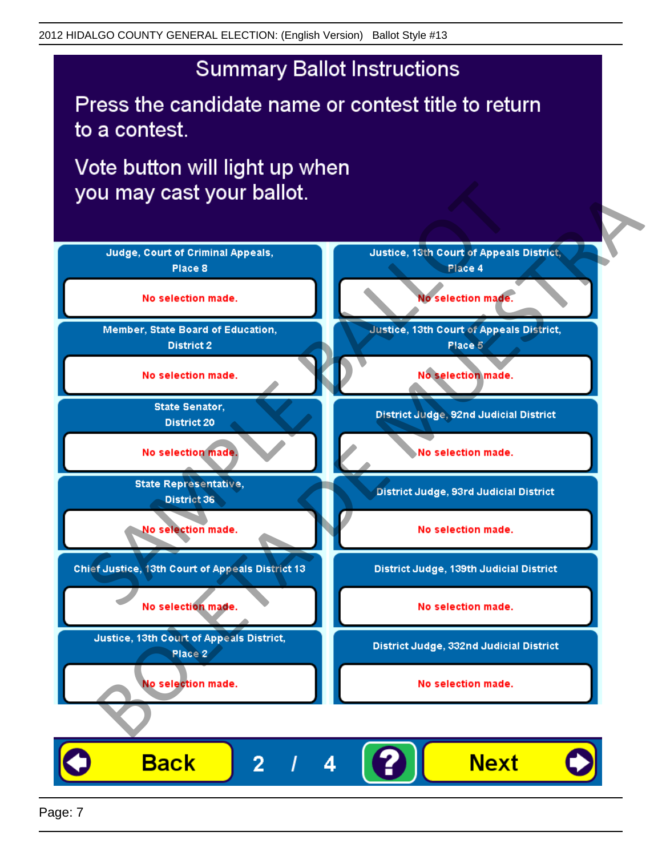Press the candidate name or contest title to return to a contest.

Vote button will light up when

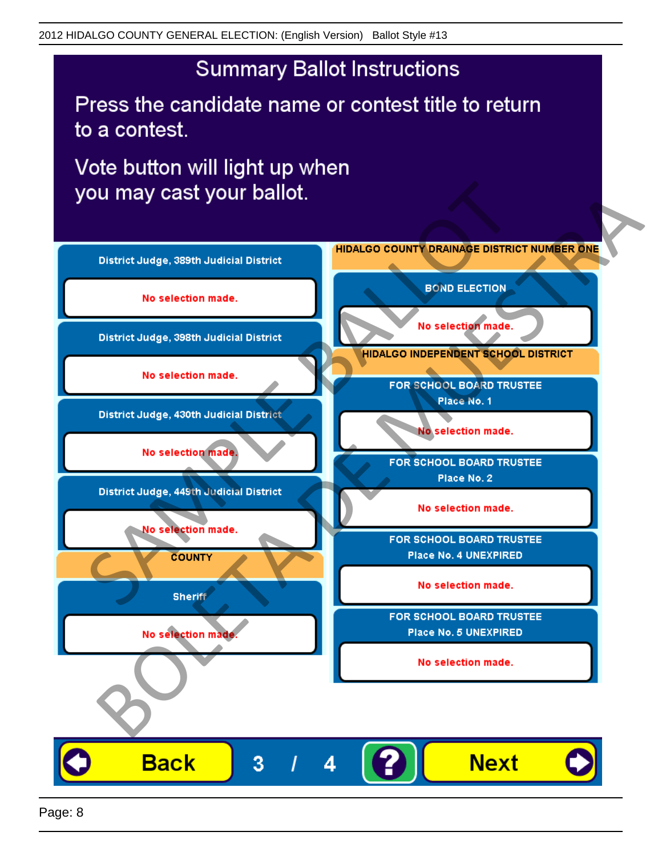Press the candidate name or contest title to return to a contest.

Vote button will light up when